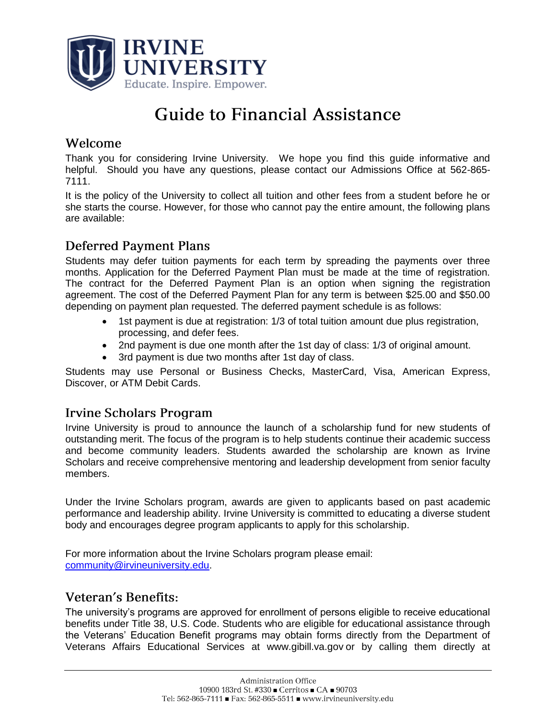

# **Guide to Financial Assistance**

### Welcome

Thank you for considering Irvine University. We hope you find this guide informative and helpful. Should you have any questions, please contact our Admissions Office at 562-865- 7111.

It is the policy of the University to collect all tuition and other fees from a student before he or she starts the course. However, for those who cannot pay the entire amount, the following plans are available:

# **Deferred Payment Plans**

Students may defer tuition payments for each term by spreading the payments over three months. Application for the Deferred Payment Plan must be made at the time of registration. The contract for the Deferred Payment Plan is an option when signing the registration agreement. The cost of the Deferred Payment Plan for any term is between \$25.00 and \$50.00 depending on payment plan requested. The deferred payment schedule is as follows:

- 1st payment is due at registration: 1/3 of total tuition amount due plus registration, processing, and defer fees.
- 2nd payment is due one month after the 1st day of class: 1/3 of original amount.
- 3rd payment is due two months after 1st day of class.

Students may use Personal or Business Checks, MasterCard, Visa, American Express, Discover, or ATM Debit Cards.

#### **Irvine Scholars Program**

Irvine University is proud to announce the launch of a scholarship fund for new students of outstanding merit. The focus of the program is to help students continue their academic success and become community leaders. Students awarded the scholarship are known as Irvine Scholars and receive comprehensive mentoring and leadership development from senior faculty members.

Under the Irvine Scholars program, awards are given to applicants based on past academic performance and leadership ability. Irvine University is committed to educating a diverse student body and encourages degree program applicants to apply for this scholarship.

For more information about the Irvine Scholars program please email: [community@irvineuniversity.edu.](http://www.irvineuniversity.edu/index.php/admissions/index.php/2011/11/new-scholarship-program-for-new-students-presidential-scholars-program/community@irvineuniversity.edu)

#### Veteran's Benefits:

The university's programs are approved for enrollment of persons eligible to receive educational benefits under Title 38, U.S. Code. Students who are eligible for educational assistance through the Veterans' Education Benefit programs may obtain forms directly from the Department of Veterans Affairs Educational Services at [www.gibill.va.gov](http://www.gibill.va.gov/) or by calling them directly at